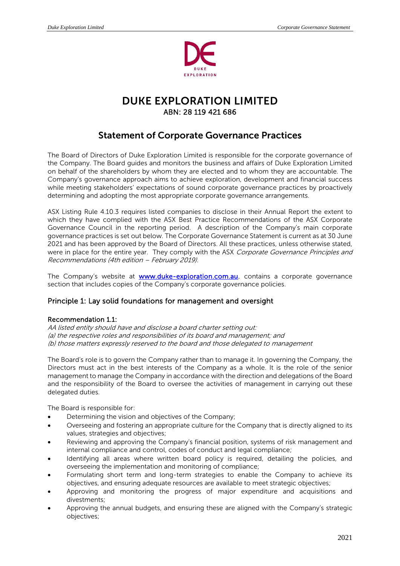

# DUKE EXPLORATION LIMITED ABN: 28 119 421 686

# Statement of Corporate Governance Practices

The Board of Directors of Duke Exploration Limited is responsible for the corporate governance of the Company. The Board guides and monitors the business and affairs of Duke Exploration Limited on behalf of the shareholders by whom they are elected and to whom they are accountable. The Company's governance approach aims to achieve exploration, development and financial success while meeting stakeholders' expectations of sound corporate governance practices by proactively determining and adopting the most appropriate corporate governance arrangements.

ASX Listing Rule 4.10.3 requires listed companies to disclose in their Annual Report the extent to which they have complied with the ASX Best Practice Recommendations of the ASX Corporate Governance Council in the reporting period. A description of the Company's main corporate governance practices is set out below. The Corporate Governance Statement is current as at 30 June 2021 and has been approved by the Board of Directors. All these practices, unless otherwise stated, were in place for the entire year. They comply with the ASX Corporate Governance Principles and Recommendations (4th edition – February 2019).

The Company's website at **www.duke-exploration.com.au**. contains a corporate governance section that includes copies of the Company's corporate governance policies.

## Principle 1: Lay solid foundations for management and oversight

### Recommendation 1.1:

AA listed entity should have and disclose a board charter setting out: (a) the respective roles and responsibilities of its board and management; and (b) those matters expressly reserved to the board and those delegated to management

The Board's role is to govern the Company rather than to manage it. In governing the Company, the Directors must act in the best interests of the Company as a whole. It is the role of the senior management to manage the Company in accordance with the direction and delegations of the Board and the responsibility of the Board to oversee the activities of management in carrying out these delegated duties.

The Board is responsible for:

- Determining the vision and objectives of the Company;
- Overseeing and fostering an appropriate culture for the Company that is directly aligned to its values, strategies and objectives;
- Reviewing and approving the Company's financial position, systems of risk management and internal compliance and control, codes of conduct and legal compliance;
- Identifying all areas where written board policy is required, detailing the policies, and overseeing the implementation and monitoring of compliance;
- Formulating short term and long-term strategies to enable the Company to achieve its objectives, and ensuring adequate resources are available to meet strategic objectives;
- Approving and monitoring the progress of major expenditure and acquisitions and divestments;
- Approving the annual budgets, and ensuring these are aligned with the Company's strategic objectives;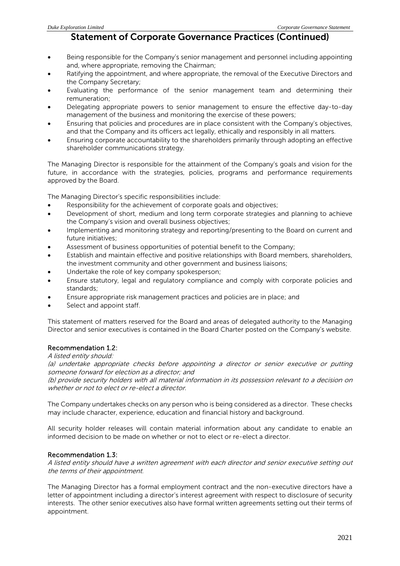- Being responsible for the Company's senior management and personnel including appointing and, where appropriate, removing the Chairman;
- Ratifying the appointment, and where appropriate, the removal of the Executive Directors and the Company Secretary;
- Evaluating the performance of the senior management team and determining their remuneration;
- Delegating appropriate powers to senior management to ensure the effective day-to-day management of the business and monitoring the exercise of these powers;
- Ensuring that policies and procedures are in place consistent with the Company's objectives, and that the Company and its officers act legally, ethically and responsibly in all matters.
- Ensuring corporate accountability to the shareholders primarily through adopting an effective shareholder communications strategy.

The Managing Director is responsible for the attainment of the Company's goals and vision for the future, in accordance with the strategies, policies, programs and performance requirements approved by the Board.

The Managing Director's specific responsibilities include:

- Responsibility for the achievement of corporate goals and objectives;
- Development of short, medium and long term corporate strategies and planning to achieve the Company's vision and overall business objectives;
- Implementing and monitoring strategy and reporting/presenting to the Board on current and future initiatives;
- Assessment of business opportunities of potential benefit to the Company;
- Establish and maintain effective and positive relationships with Board members, shareholders, the investment community and other government and business liaisons;
- Undertake the role of key company spokesperson;
- Ensure statutory, legal and regulatory compliance and comply with corporate policies and standards;
- Ensure appropriate risk management practices and policies are in place; and
- Select and appoint staff.

This statement of matters reserved for the Board and areas of delegated authority to the Managing Director and senior executives is contained in the Board Charter posted on the Company's website.

### Recommendation 1.2:

A listed entity should:

(a) undertake appropriate checks before appointing a director or senior executive or putting someone forward for election as a director; and

(b) provide security holders with all material information in its possession relevant to a decision on whether or not to elect or re-elect a director.

The Company undertakes checks on any person who is being considered as a director. These checks may include character, experience, education and financial history and background.

All security holder releases will contain material information about any candidate to enable an informed decision to be made on whether or not to elect or re-elect a director.

### Recommendation 1.3:

A listed entity should have a written agreement with each director and senior executive setting out the terms of their appointment.

The Managing Director has a formal employment contract and the non-executive directors have a letter of appointment including a director's interest agreement with respect to disclosure of security interests. The other senior executives also have formal written agreements setting out their terms of appointment.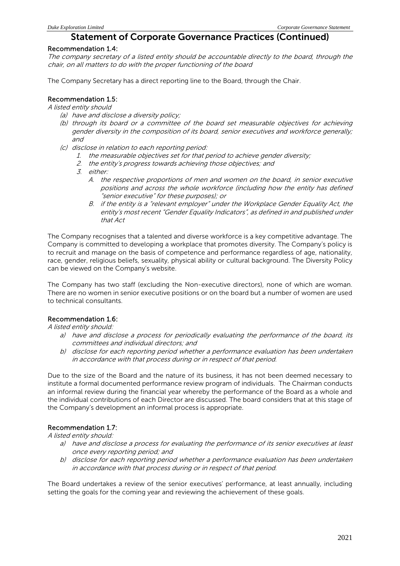### Recommendation 1.4:

The company secretary of a listed entity should be accountable directly to the board, through the chair, on all matters to do with the proper functioning of the board

The Company Secretary has a direct reporting line to the Board, through the Chair.

## Recommendation 1.5:

A listed entity should

- (a) have and disclose a diversity policy;
- (b) through its board or a committee of the board set measurable objectives for achieving gender diversity in the composition of its board, senior executives and workforce generally; and
- (c) disclose in relation to each reporting period:
	- 1. the measurable objectives set for that period to achieve gender diversity;
	- 2. the entity's progress towards achieving those objectives; and
	- 3. either:
		- A. the respective proportions of men and women on the board, in senior executive positions and across the whole workforce (including how the entity has defined "senior executive" for these purposes); or
		- B. if the entity is a "relevant employer" under the Workplace Gender Equality Act, the entity's most recent "Gender Equality Indicators", as defined in and published under that Act

The Company recognises that a talented and diverse workforce is a key competitive advantage. The Company is committed to developing a workplace that promotes diversity. The Company's policy is to recruit and manage on the basis of competence and performance regardless of age, nationality, race, gender, religious beliefs, sexuality, physical ability or cultural background. The Diversity Policy can be viewed on the Company's website.

The Company has two staff (excluding the Non-executive directors), none of which are woman. There are no women in senior executive positions or on the board but a number of women are used to technical consultants.

### Recommendation 1.6:

A listed entity should:

- a) have and disclose a process for periodically evaluating the performance of the board, its committees and individual directors; and
- b) disclose for each reporting period whether a performance evaluation has been undertaken in accordance with that process during or in respect of that period.

Due to the size of the Board and the nature of its business, it has not been deemed necessary to institute a formal documented performance review program of individuals. The Chairman conducts an informal review during the financial year whereby the performance of the Board as a whole and the individual contributions of each Director are discussed. The board considers that at this stage of the Company's development an informal process is appropriate.

### Recommendation 1.7:

A listed entity should:

- a) have and disclose a process for evaluating the performance of its senior executives at least once every reporting period; and
- b) disclose for each reporting period whether a performance evaluation has been undertaken in accordance with that process during or in respect of that period.

The Board undertakes a review of the senior executives' performance, at least annually, including setting the goals for the coming year and reviewing the achievement of these goals.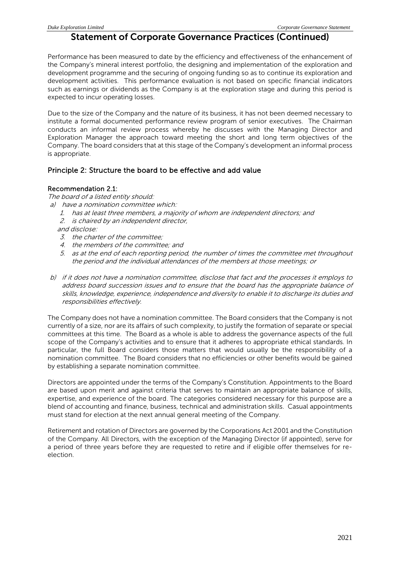Performance has been measured to date by the efficiency and effectiveness of the enhancement of the Company's mineral interest portfolio, the designing and implementation of the exploration and development programme and the securing of ongoing funding so as to continue its exploration and development activities. This performance evaluation is not based on specific financial indicators such as earnings or dividends as the Company is at the exploration stage and during this period is expected to incur operating losses.

Due to the size of the Company and the nature of its business, it has not been deemed necessary to institute a formal documented performance review program of senior executives. The Chairman conducts an informal review process whereby he discusses with the Managing Director and Exploration Manager the approach toward meeting the short and long term objectives of the Company. The board considers that at this stage of the Company's development an informal process is appropriate.

### Principle 2: Structure the board to be effective and add value

### Recommendation 2.1:

The board of a listed entity should:

- a) have a nomination committee which:
	- 1. has at least three members, a majority of whom are independent directors; and
	- 2. is chaired by an independent director,

and disclose:

- 3. the charter of the committee;
- 4. the members of the committee; and
- 5. as at the end of each reporting period, the number of times the committee met throughout the period and the individual attendances of the members at those meetings; or
- b) if it does not have a nomination committee, disclose that fact and the processes it employs to address board succession issues and to ensure that the board has the appropriate balance of skills, knowledge, experience, independence and diversity to enable it to discharge its duties and responsibilities effectively.

The Company does not have a nomination committee. The Board considers that the Company is not currently of a size, nor are its affairs of such complexity, to justify the formation of separate or special committees at this time. The Board as a whole is able to address the governance aspects of the full scope of the Company's activities and to ensure that it adheres to appropriate ethical standards. In particular, the full Board considers those matters that would usually be the responsibility of a nomination committee. The Board considers that no efficiencies or other benefits would be gained by establishing a separate nomination committee.

Directors are appointed under the terms of the Company's Constitution. Appointments to the Board are based upon merit and against criteria that serves to maintain an appropriate balance of skills, expertise, and experience of the board. The categories considered necessary for this purpose are a blend of accounting and finance, business, technical and administration skills. Casual appointments must stand for election at the next annual general meeting of the Company.

Retirement and rotation of Directors are governed by the Corporations Act 2001 and the Constitution of the Company. All Directors, with the exception of the Managing Director (if appointed), serve for a period of three years before they are requested to retire and if eligible offer themselves for reelection.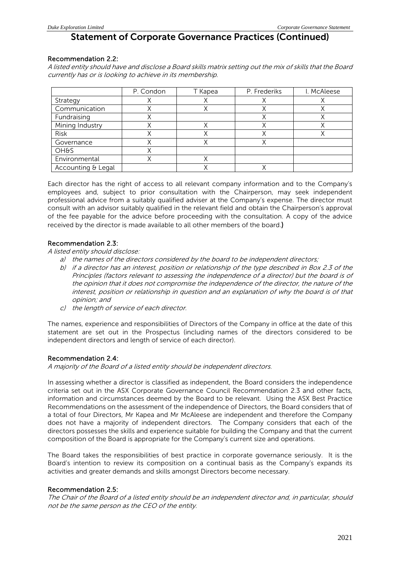### Recommendation 2.2:

A listed entity should have and disclose a Board skills matrix setting out the mix of skills that the Board currently has or is looking to achieve in its membership.

|                    | P. Condon | T Kapea | P. Frederiks | I. McAleese |
|--------------------|-----------|---------|--------------|-------------|
| Strategy           |           |         |              |             |
| Communication      |           |         |              |             |
| Fundraising        |           |         |              |             |
| Mining Industry    |           |         |              |             |
| Risk               |           |         |              |             |
| Governance         |           |         |              |             |
| <b>OH&amp;S</b>    |           |         |              |             |
| Environmental      |           |         |              |             |
| Accounting & Legal |           |         |              |             |

Each director has the right of access to all relevant company information and to the Company's employees and, subject to prior consultation with the Chairperson, may seek independent professional advice from a suitably qualified adviser at the Company's expense. The director must consult with an advisor suitably qualified in the relevant field and obtain the Chairperson's approval of the fee payable for the advice before proceeding with the consultation. A copy of the advice received by the director is made available to all other members of the board.)

### Recommendation 2.3:

A listed entity should disclose:

- a) the names of the directors considered by the board to be independent directors;
- b) if a director has an interest, position or relationship of the type described in Box 2.3 of the Principles (factors relevant to assessing the independence of a director) but the board is of the opinion that it does not compromise the independence of the director, the nature of the interest, position or relationship in question and an explanation of why the board is of that opinion; and
- c) the length of service of each director.

The names, experience and responsibilities of Directors of the Company in office at the date of this statement are set out in the Prospectus (including names of the directors considered to be independent directors and length of service of each director).

### Recommendation 2.4:

A majority of the Board of a listed entity should be independent directors.

In assessing whether a director is classified as independent, the Board considers the independence criteria set out in the ASX Corporate Governance Council Recommendation 2.3 and other facts, information and circumstances deemed by the Board to be relevant. Using the ASX Best Practice Recommendations on the assessment of the independence of Directors, the Board considers that of a total of four Directors, Mr Kapea and Mr McAleese are independent and therefore the Company does not have a majority of independent directors. The Company considers that each of the directors possesses the skills and experience suitable for building the Company and that the current composition of the Board is appropriate for the Company's current size and operations.

The Board takes the responsibilities of best practice in corporate governance seriously. It is the Board's intention to review its composition on a continual basis as the Company's expands its activities and greater demands and skills amongst Directors become necessary.

### Recommendation 2.5:

The Chair of the Board of a listed entity should be an independent director and, in particular, should not be the same person as the CEO of the entity.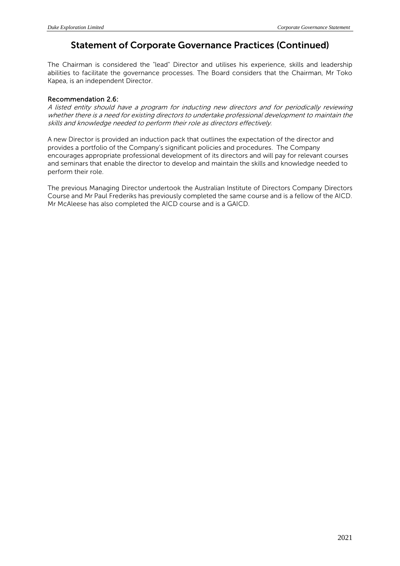The Chairman is considered the "lead" Director and utilises his experience, skills and leadership abilities to facilitate the governance processes. The Board considers that the Chairman, Mr Toko Kapea, is an independent Director.

### Recommendation 2.6:

A listed entity should have a program for inducting new directors and for periodically reviewing whether there is a need for existing directors to undertake professional development to maintain the skills and knowledge needed to perform their role as directors effectively.

A new Director is provided an induction pack that outlines the expectation of the director and provides a portfolio of the Company's significant policies and procedures. The Company encourages appropriate professional development of its directors and will pay for relevant courses and seminars that enable the director to develop and maintain the skills and knowledge needed to perform their role.

The previous Managing Director undertook the Australian Institute of Directors Company Directors Course and Mr Paul Frederiks has previously completed the same course and is a fellow of the AICD. Mr McAleese has also completed the AICD course and is a GAICD.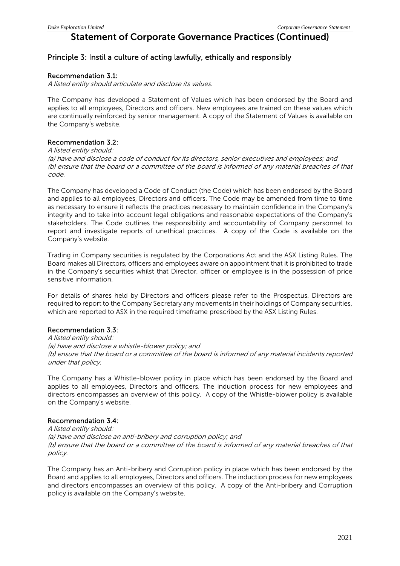## Principle 3: Instil a culture of acting lawfully, ethically and responsibly

### Recommendation 3.1:

A listed entity should articulate and disclose its values.

The Company has developed a Statement of Values which has been endorsed by the Board and applies to all employees, Directors and officers. New employees are trained on these values which are continually reinforced by senior management. A copy of the Statement of Values is available on the Company's website.

### Recommendation 3.2:

### A listed entity should:

(a) have and disclose a code of conduct for its directors, senior executives and employees; and (b) ensure that the board or a committee of the board is informed of any material breaches of that code.

The Company has developed a Code of Conduct (the Code) which has been endorsed by the Board and applies to all employees, Directors and officers. The Code may be amended from time to time as necessary to ensure it reflects the practices necessary to maintain confidence in the Company's integrity and to take into account legal obligations and reasonable expectations of the Company's stakeholders. The Code outlines the responsibility and accountability of Company personnel to report and investigate reports of unethical practices. A copy of the Code is available on the Company's website.

Trading in Company securities is regulated by the Corporations Act and the ASX Listing Rules. The Board makes all Directors, officers and employees aware on appointment that it is prohibited to trade in the Company's securities whilst that Director, officer or employee is in the possession of price sensitive information.

For details of shares held by Directors and officers please refer to the Prospectus. Directors are required to report to the Company Secretary any movements in their holdings of Company securities, which are reported to ASX in the required timeframe prescribed by the ASX Listing Rules.

### Recommendation 3.3:

A listed entity should: (a) have and disclose a whistle-blower policy; and (b) ensure that the board or a committee of the board is informed of any material incidents reported under that policy.

The Company has a Whistle-blower policy in place which has been endorsed by the Board and applies to all employees, Directors and officers. The induction process for new employees and directors encompasses an overview of this policy. A copy of the Whistle-blower policy is available on the Company's website.

### Recommendation 3.4:

A listed entity should: (a) have and disclose an anti-bribery and corruption policy; and (b) ensure that the board or a committee of the board is informed of any material breaches of that policy.

The Company has an Anti-bribery and Corruption policy in place which has been endorsed by the Board and applies to all employees, Directors and officers. The induction process for new employees and directors encompasses an overview of this policy. A copy of the Anti-bribery and Corruption policy is available on the Company's website.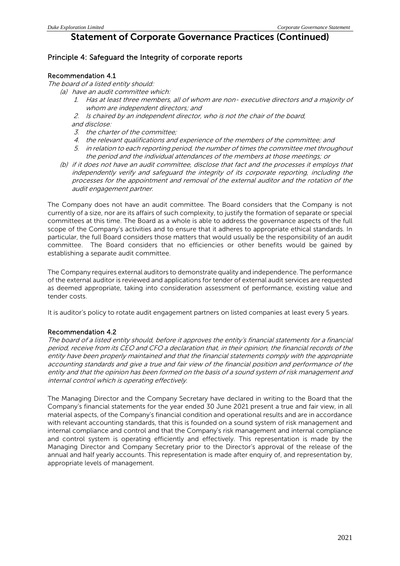## Principle 4: Safeguard the Integrity of corporate reports

### Recommendation 4.1

The board of a listed entity should:

- (a) have an audit committee which:
	- 1. Has at least three members, all of whom are non- executive directors and a majority of whom are independent directors; and
	- 2. Is chaired by an independent director, who is not the chair of the board, and disclose:
	- 3. the charter of the committee;
	- 4. the relevant qualifications and experience of the members of the committee; and
	- 5. in relation to each reporting period, the number of times the committee met throughout the period and the individual attendances of the members at those meetings; or
	- (b) if it does not have an audit committee, disclose that fact and the processes it employs that independently verify and safeguard the integrity of its corporate reporting, including the processes for the appointment and removal of the external auditor and the rotation of the audit engagement partner.

The Company does not have an audit committee. The Board considers that the Company is not currently of a size, nor are its affairs of such complexity, to justify the formation of separate or special committees at this time. The Board as a whole is able to address the governance aspects of the full scope of the Company's activities and to ensure that it adheres to appropriate ethical standards. In particular, the full Board considers those matters that would usually be the responsibility of an audit committee. The Board considers that no efficiencies or other benefits would be gained by establishing a separate audit committee.

The Company requires external auditors to demonstrate quality and independence. The performance of the external auditor is reviewed and applications for tender of external audit services are requested as deemed appropriate, taking into consideration assessment of performance, existing value and tender costs.

It is auditor's policy to rotate audit engagement partners on listed companies at least every 5 years.

### Recommendation 4.2

The board of a listed entity should, before it approves the entity's financial statements for a financial period, receive from its CEO and CFO a declaration that, in their opinion, the financial records of the entity have been properly maintained and that the financial statements comply with the appropriate accounting standards and give a true and fair view of the financial position and performance of the entity and that the opinion has been formed on the basis of a sound system of risk management and internal control which is operating effectively.

The Managing Director and the Company Secretary have declared in writing to the Board that the Company's financial statements for the year ended 30 June 2021 present a true and fair view, in all material aspects, of the Company's financial condition and operational results and are in accordance with relevant accounting standards, that this is founded on a sound system of risk management and internal compliance and control and that the Company's risk management and internal compliance and control system is operating efficiently and effectively. This representation is made by the Managing Director and Company Secretary prior to the Director's approval of the release of the annual and half yearly accounts. This representation is made after enquiry of, and representation by, appropriate levels of management.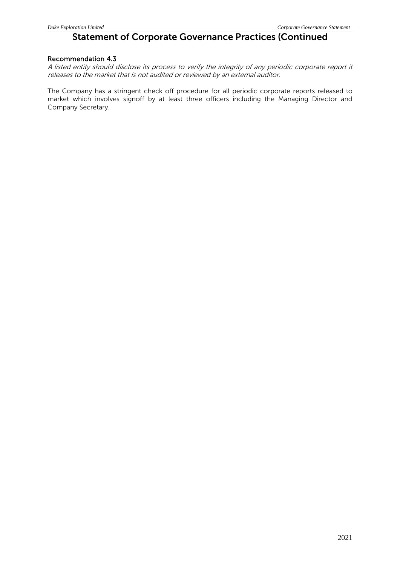### Recommendation 4.3

A listed entity should disclose its process to verify the integrity of any periodic corporate report it releases to the market that is not audited or reviewed by an external auditor.

The Company has a stringent check off procedure for all periodic corporate reports released to market which involves signoff by at least three officers including the Managing Director and Company Secretary.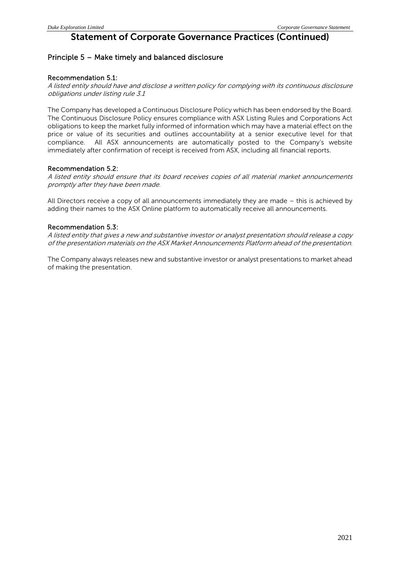## Principle 5 – Make timely and balanced disclosure

### Recommendation 5.1:

A listed entity should have and disclose a written policy for complying with its continuous disclosure obligations under listing rule 3.1

The Company has developed a Continuous Disclosure Policy which has been endorsed by the Board. The Continuous Disclosure Policy ensures compliance with ASX Listing Rules and Corporations Act obligations to keep the market fully informed of information which may have a material effect on the price or value of its securities and outlines accountability at a senior executive level for that compliance. All ASX announcements are automatically posted to the Company's website immediately after confirmation of receipt is received from ASX, including all financial reports.

### Recommendation 5.2:

A listed entity should ensure that its board receives copies of all material market announcements promptly after they have been made.

All Directors receive a copy of all announcements immediately they are made – this is achieved by adding their names to the ASX Online platform to automatically receive all announcements.

### Recommendation 5.3:

A listed entity that gives a new and substantive investor or analyst presentation should release a copy of the presentation materials on the ASX Market Announcements Platform ahead of the presentation.

The Company always releases new and substantive investor or analyst presentations to market ahead of making the presentation.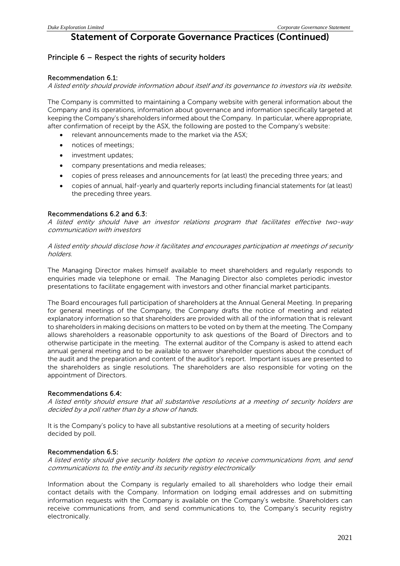## Principle 6 – Respect the rights of security holders

### Recommendation 6.1:

A listed entity should provide information about itself and its governance to investors via its website.

The Company is committed to maintaining a Company website with general information about the Company and its operations, information about governance and information specifically targeted at keeping the Company's shareholders informed about the Company. In particular, where appropriate, after confirmation of receipt by the ASX, the following are posted to the Company's website:

- relevant announcements made to the market via the ASX;
- notices of meetings;
- investment updates;
- company presentations and media releases;
- copies of press releases and announcements for (at least) the preceding three years; and
- copies of annual, half-yearly and quarterly reports including financial statements for (at least) the preceding three years.

### Recommendations 6.2 and 6.3:

A listed entity should have an investor relations program that facilitates effective two-way communication with investors

A listed entity should disclose how it facilitates and encourages participation at meetings of security holders.

The Managing Director makes himself available to meet shareholders and regularly responds to enquiries made via telephone or email. The Managing Director also completes periodic investor presentations to facilitate engagement with investors and other financial market participants.

The Board encourages full participation of shareholders at the Annual General Meeting. In preparing for general meetings of the Company, the Company drafts the notice of meeting and related explanatory information so that shareholders are provided with all of the information that is relevant to shareholders in making decisions on matters to be voted on by them at the meeting. The Company allows shareholders a reasonable opportunity to ask questions of the Board of Directors and to otherwise participate in the meeting. The external auditor of the Company is asked to attend each annual general meeting and to be available to answer shareholder questions about the conduct of the audit and the preparation and content of the auditor's report. Important issues are presented to the shareholders as single resolutions. The shareholders are also responsible for voting on the appointment of Directors.

### Recommendations 6.4:

A listed entity should ensure that all substantive resolutions at a meeting of security holders are decided by a poll rather than by a show of hands.

It is the Company's policy to have all substantive resolutions at a meeting of security holders decided by poll.

### Recommendation 6.5:

A listed entity should give security holders the option to receive communications from, and send communications to, the entity and its security registry electronically

Information about the Company is regularly emailed to all shareholders who lodge their email contact details with the Company. Information on lodging email addresses and on submitting information requests with the Company is available on the Company's website. Shareholders can receive communications from, and send communications to, the Company's security registry electronically.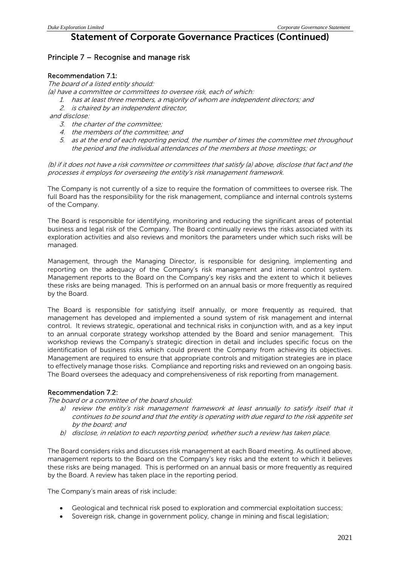## Principle 7 – Recognise and manage risk

### Recommendation 7.1:

The board of a listed entity should:

- (a) have a committee or committees to oversee risk, each of which:
	- 1. has at least three members, a majority of whom are independent directors; and 2. is chaired by an independent director,

and disclose:

- 3. the charter of the committee;
- 4. the members of the committee; and
- 5. as at the end of each reporting period, the number of times the committee met throughout the period and the individual attendances of the members at those meetings; or

(b) if it does not have a risk committee or committees that satisfy (a) above, disclose that fact and the processes it employs for overseeing the entity's risk management framework.

The Company is not currently of a size to require the formation of committees to oversee risk. The full Board has the responsibility for the risk management, compliance and internal controls systems of the Company.

The Board is responsible for identifying, monitoring and reducing the significant areas of potential business and legal risk of the Company. The Board continually reviews the risks associated with its exploration activities and also reviews and monitors the parameters under which such risks will be managed.

Management, through the Managing Director, is responsible for designing, implementing and reporting on the adequacy of the Company's risk management and internal control system. Management reports to the Board on the Company's key risks and the extent to which it believes these risks are being managed. This is performed on an annual basis or more frequently as required by the Board.

The Board is responsible for satisfying itself annually, or more frequently as required, that management has developed and implemented a sound system of risk management and internal control. It reviews strategic, operational and technical risks in conjunction with, and as a key input to an annual corporate strategy workshop attended by the Board and senior management. This workshop reviews the Company's strategic direction in detail and includes specific focus on the identification of business risks which could prevent the Company from achieving its objectives. Management are required to ensure that appropriate controls and mitigation strategies are in place to effectively manage those risks. Compliance and reporting risks and reviewed on an ongoing basis. The Board oversees the adequacy and comprehensiveness of risk reporting from management.

### Recommendation 7.2:

The board or a committee of the board should:

- a) review the entity's risk management framework at least annually to satisfy itself that it continues to be sound and that the entity is operating with due regard to the risk appetite set by the board; and
- b) disclose, in relation to each reporting period, whether such a review has taken place.

The Board considers risks and discusses risk management at each Board meeting. As outlined above, management reports to the Board on the Company's key risks and the extent to which it believes these risks are being managed. This is performed on an annual basis or more frequently as required by the Board. A review has taken place in the reporting period.

The Company's main areas of risk include:

- Geological and technical risk posed to exploration and commercial exploitation success;
- Sovereign risk, change in government policy, change in mining and fiscal legislation;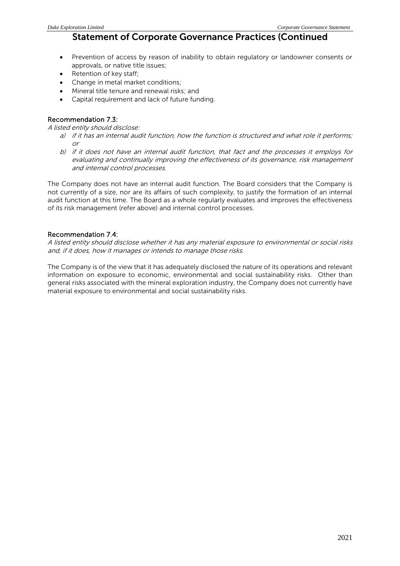- Prevention of access by reason of inability to obtain regulatory or landowner consents or approvals, or native title issues;
- Retention of key staff;
- Change in metal market conditions;
- Mineral title tenure and renewal risks; and
- Capital requirement and lack of future funding.

### Recommendation 7.3:

A listed entity should disclose:

- a) if it has an internal audit function, how the function is structured and what role it performs; or
- b) if it does not have an internal audit function, that fact and the processes it employs for evaluating and continually improving the effectiveness of its governance, risk management and internal control processes.

The Company does not have an internal audit function. The Board considers that the Company is not currently of a size, nor are its affairs of such complexity, to justify the formation of an internal audit function at this time. The Board as a whole regularly evaluates and improves the effectiveness of its risk management (refer above) and internal control processes.

### Recommendation 7.4:

A listed entity should disclose whether it has any material exposure to environmental or social risks and, if it does, how it manages or intends to manage those risks.

The Company is of the view that it has adequately disclosed the nature of its operations and relevant information on exposure to economic, environmental and social sustainability risks. Other than general risks associated with the mineral exploration industry, the Company does not currently have material exposure to environmental and social sustainability risks.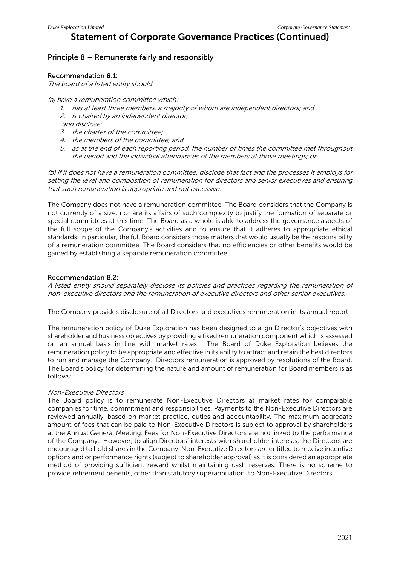## Principle 8 – Remunerate fairly and responsibly

### Recommendation 8.1:

The board of a listed entity should:

- (a) have a remuneration committee which:
	- 1. has at least three members, a majority of whom are independent directors; and
	- 2. is chaired by an independent director,
	- and disclose:
	- 3. the charter of the committee;
	- 4. the members of the committee; and
	- 5. as at the end of each reporting period, the number of times the committee met throughout the period and the individual attendances of the members at those meetings; or

(b) if it does not have a remuneration committee, disclose that fact and the processes it employs for setting the level and composition of remuneration for directors and senior executives and ensuring that such remuneration is appropriate and not excessive.

The Company does not have a remuneration committee. The Board considers that the Company is not currently of a size, nor are its affairs of such complexity to justify the formation of separate or special committees at this time. The Board as a whole is able to address the governance aspects of the full scope of the Company's activities and to ensure that it adheres to appropriate ethical standards. In particular, the full Board considers those matters that would usually be the responsibility of a remuneration committee. The Board considers that no efficiencies or other benefits would be gained by establishing a separate remuneration committee.

### Recommendation 8.2:

A listed entity should separately disclose its policies and practices regarding the remuneration of non-executive directors and the remuneration of executive directors and other senior executives.

The Company provides disclosure of all Directors and executives remuneration in its annual report.

The remuneration policy of Duke Exploration has been designed to align Director's objectives with shareholder and business objectives by providing a fixed remuneration component which is assessed on an annual basis in line with market rates. The Board of Duke Exploration believes the remuneration policy to be appropriate and effective in its ability to attract and retain the best directors to run and manage the Company. Directors remuneration is approved by resolutions of the Board. The Board's policy for determining the nature and amount of remuneration for Board members is as follows:

### Non-Executive Directors

The Board policy is to remunerate Non-Executive Directors at market rates for comparable companies for time, commitment and responsibilities. Payments to the Non-Executive Directors are reviewed annually, based on market practice, duties and accountability. The maximum aggregate amount of fees that can be paid to Non-Executive Directors is subject to approval by shareholders at the Annual General Meeting. Fees for Non-Executive Directors are not linked to the performance of the Company. However, to align Directors' interests with shareholder interests, the Directors are encouraged to hold shares in the Company. Non-Executive Directors are entitled to receive incentive options and or performance rights (subject to shareholder approval) as it is considered an appropriate method of providing sufficient reward whilst maintaining cash reserves. There is no scheme to provide retirement benefits, other than statutory superannuation, to Non-Executive Directors.